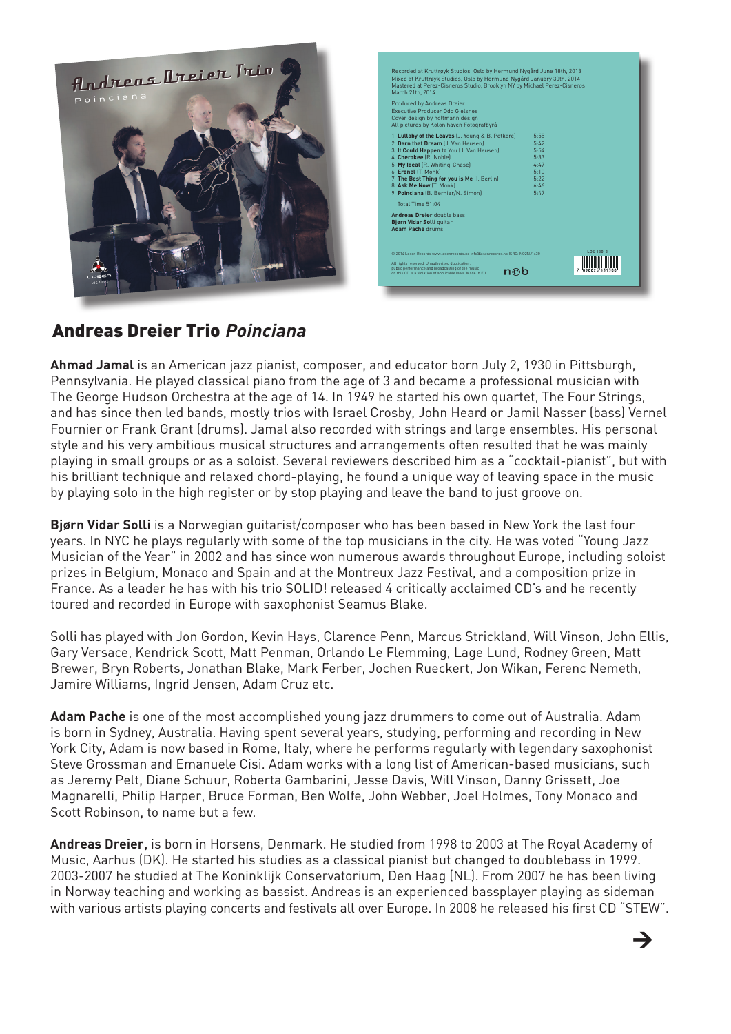

| Mixed at Kruttrøyk Studios, Oslo by Hermund Nygård January 30th, 2014<br>Mastered at Perez-Cisneros Studio, Brooklyn NY by Michael Perez-Cisneros<br>March 21th, 2014 |              |  |
|-----------------------------------------------------------------------------------------------------------------------------------------------------------------------|--------------|--|
| Produced by Andreas Dreier<br><b>Executive Producer Odd Gjelsnes</b><br>Cover design by holtmann design<br>All pictures by Kolonihaven Fotografbyrå                   |              |  |
| 1 Lullaby of the Leaves (J. Young & B. Petkere)                                                                                                                       | 5:55         |  |
| 2 Darn that Dream [J. Van Heusen]                                                                                                                                     | 5:42         |  |
| 3 It Could Happen to You (J. Van Heusen)<br>4 Cherokee (R. Noble)                                                                                                     | 5-54<br>5:33 |  |
| 5 My Ideal (R. Whiting-Chase)                                                                                                                                         | $4 - 47$     |  |
| 6 Eronel [T. Monk]                                                                                                                                                    | $5 - 10$     |  |
| 7 The Best Thing for you is Me (I. Berlin)                                                                                                                            | 5:22         |  |
| 8 Ask Me Now [T. Monk]                                                                                                                                                | 6:46         |  |
| 9 Poinciana (B. Bernier/N. Simon)                                                                                                                                     | $5 - 47$     |  |
| Total Time 51:04                                                                                                                                                      |              |  |
| <b>Andreas Dreier double bass</b><br>Bjørn Vidar Solli quitar<br><b>Adam Pache drums</b>                                                                              |              |  |
| © 2014 Losen Records www.losenrecords.no.info@losenrecords.no ISRC: NO2N U430                                                                                         | LOS 130-2    |  |
| All rights reserved. Unauthorized duplication.<br>public performance and broadcasting of the music                                                                    | n©b          |  |

 $\rightarrow$ 

## Andreas Dreier Trio **Poinciana**

**Ahmad Jamal** is an American jazz pianist, composer, and educator born July 2, 1930 in Pittsburgh, Pennsylvania. He played classical piano from the age of 3 and became a professional musician with The George Hudson Orchestra at the age of 14. In 1949 he started his own quartet, The Four Strings, and has since then led bands, mostly trios with Israel Crosby, John Heard or Jamil Nasser (bass) Vernel Fournier or Frank Grant (drums). Jamal also recorded with strings and large ensembles. His personal style and his very ambitious musical structures and arrangements often resulted that he was mainly playing in small groups or as a soloist. Several reviewers described him as a "cocktail-pianist", but with his brilliant technique and relaxed chord-playing, he found a unique way of leaving space in the music by playing solo in the high register or by stop playing and leave the band to just groove on.

**Bjørn Vidar Solli** is a Norwegian guitarist/composer who has been based in New York the last four years. In NYC he plays regularly with some of the top musicians in the city. He was voted "Young Jazz Musician of the Year" in 2002 and has since won numerous awards throughout Europe, including soloist prizes in Belgium, Monaco and Spain and at the Montreux Jazz Festival, and a composition prize in France. As a leader he has with his trio SOLID! released 4 critically acclaimed CD's and he recently toured and recorded in Europe with saxophonist Seamus Blake.

Solli has played with Jon Gordon, Kevin Hays, Clarence Penn, Marcus Strickland, Will Vinson, John Ellis, Gary Versace, Kendrick Scott, Matt Penman, Orlando Le Flemming, Lage Lund, Rodney Green, Matt Brewer, Bryn Roberts, Jonathan Blake, Mark Ferber, Jochen Rueckert, Jon Wikan, Ferenc Nemeth, Jamire Williams, Ingrid Jensen, Adam Cruz etc.

**Adam Pache** is one of the most accomplished young jazz drummers to come out of Australia. Adam is born in Sydney, Australia. Having spent several years, studying, performing and recording in New York City, Adam is now based in Rome, Italy, where he performs regularly with legendary saxophonist Steve Grossman and Emanuele Cisi. Adam works with a long list of American-based musicians, such as Jeremy Pelt, Diane Schuur, Roberta Gambarini, Jesse Davis, Will Vinson, Danny Grissett, Joe Magnarelli, Philip Harper, Bruce Forman, Ben Wolfe, John Webber, Joel Holmes, Tony Monaco and Scott Robinson, to name but a few.

**Andreas Dreier,** is born in Horsens, Denmark. He studied from 1998 to 2003 at The Royal Academy of Music, Aarhus (DK). He started his studies as a classical pianist but changed to doublebass in 1999. 2003-2007 he studied at The Koninklijk Conservatorium, Den Haag (NL). From 2007 he has been living in Norway teaching and working as bassist. Andreas is an experienced bassplayer playing as sideman with various artists playing concerts and festivals all over Europe. In 2008 he released his first CD "STEW".